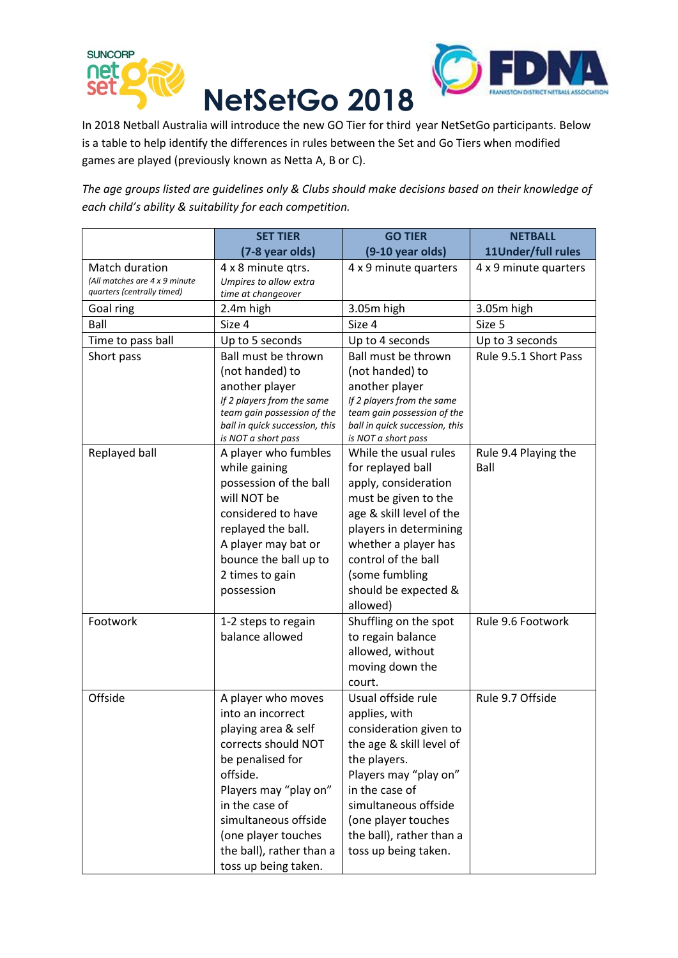



In 2018 Netball Australia will introduce the new GO Tier for third year NetSetGo participants. Below is a table to help identify the differences in rules between the Set and Go Tiers when modified games are played (previously known as Netta A, B or C).

*The age groups listed are guidelines only & Clubs should make decisions based on their knowledge of each child's ability & suitability for each competition.*

|                                                                               | <b>SET TIER</b>                                                                                                                                                                                                                                                     | <b>GO TIER</b>                                                                                                                                                                                                                                          | <b>NETBALL</b>               |
|-------------------------------------------------------------------------------|---------------------------------------------------------------------------------------------------------------------------------------------------------------------------------------------------------------------------------------------------------------------|---------------------------------------------------------------------------------------------------------------------------------------------------------------------------------------------------------------------------------------------------------|------------------------------|
|                                                                               | (7-8 year olds)                                                                                                                                                                                                                                                     | $(9-10$ year olds)                                                                                                                                                                                                                                      | 11Under/full rules           |
| Match duration<br>(All matches are 4 x 9 minute<br>quarters (centrally timed) | 4 x 8 minute qtrs.<br>Umpires to allow extra<br>time at changeover                                                                                                                                                                                                  | 4 x 9 minute quarters                                                                                                                                                                                                                                   | 4 x 9 minute quarters        |
| Goal ring                                                                     | 2.4m high                                                                                                                                                                                                                                                           | 3.05m high                                                                                                                                                                                                                                              | 3.05m high                   |
| Ball                                                                          | Size 4                                                                                                                                                                                                                                                              | Size 4                                                                                                                                                                                                                                                  | Size 5                       |
| Time to pass ball                                                             | Up to 5 seconds                                                                                                                                                                                                                                                     | Up to 4 seconds                                                                                                                                                                                                                                         | Up to 3 seconds              |
| Short pass                                                                    | Ball must be thrown<br>(not handed) to<br>another player<br>If 2 players from the same<br>team gain possession of the<br>ball in quick succession, this                                                                                                             | Ball must be thrown<br>(not handed) to<br>another player<br>If 2 players from the same<br>team gain possession of the<br>ball in quick succession, this                                                                                                 | Rule 9.5.1 Short Pass        |
|                                                                               | is NOT a short pass                                                                                                                                                                                                                                                 | is NOT a short pass                                                                                                                                                                                                                                     |                              |
| Replayed ball                                                                 | A player who fumbles<br>while gaining<br>possession of the ball<br>will NOT be<br>considered to have<br>replayed the ball.<br>A player may bat or<br>bounce the ball up to<br>2 times to gain<br>possession                                                         | While the usual rules<br>for replayed ball<br>apply, consideration<br>must be given to the<br>age & skill level of the<br>players in determining<br>whether a player has<br>control of the ball<br>(some fumbling<br>should be expected &<br>allowed)   | Rule 9.4 Playing the<br>Ball |
| Footwork                                                                      | 1-2 steps to regain<br>balance allowed                                                                                                                                                                                                                              | Shuffling on the spot<br>to regain balance<br>allowed, without<br>moving down the<br>court.                                                                                                                                                             | Rule 9.6 Footwork            |
| Offside                                                                       | A player who moves<br>into an incorrect<br>playing area & self<br>corrects should NOT<br>be penalised for<br>offside.<br>Players may "play on"<br>in the case of<br>simultaneous offside<br>(one player touches<br>the ball), rather than a<br>toss up being taken. | Usual offside rule<br>applies, with<br>consideration given to<br>the age & skill level of<br>the players.<br>Players may "play on"<br>in the case of<br>simultaneous offside<br>(one player touches<br>the ball), rather than a<br>toss up being taken. | Rule 9.7 Offside             |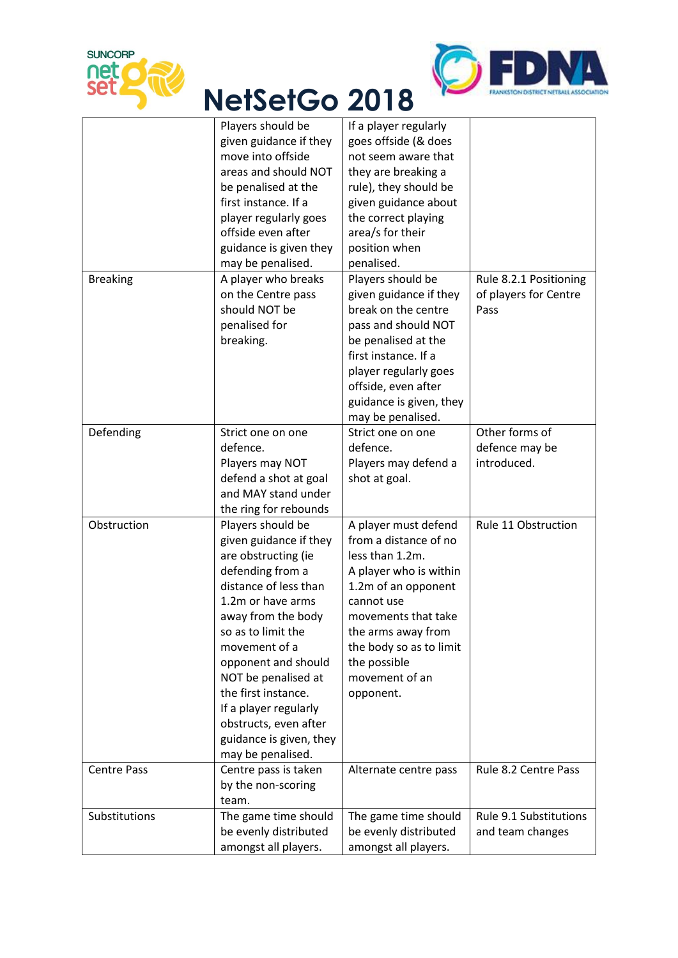



## **NetSetGo 2018**

|                    | Players should be                             | If a player regularly                         |                        |
|--------------------|-----------------------------------------------|-----------------------------------------------|------------------------|
|                    | given guidance if they                        | goes offside (& does                          |                        |
|                    | move into offside                             | not seem aware that                           |                        |
|                    | areas and should NOT                          | they are breaking a                           |                        |
|                    | be penalised at the                           | rule), they should be                         |                        |
|                    | first instance. If a                          | given guidance about                          |                        |
|                    | player regularly goes                         | the correct playing                           |                        |
|                    | offside even after                            | area/s for their                              |                        |
|                    | guidance is given they                        | position when                                 |                        |
|                    | may be penalised.                             | penalised.                                    |                        |
| <b>Breaking</b>    | A player who breaks                           | Players should be                             |                        |
|                    |                                               |                                               | Rule 8.2.1 Positioning |
|                    | on the Centre pass                            | given guidance if they                        | of players for Centre  |
|                    | should NOT be                                 | break on the centre                           | Pass                   |
|                    | penalised for                                 | pass and should NOT                           |                        |
|                    | breaking.                                     | be penalised at the                           |                        |
|                    |                                               | first instance. If a                          |                        |
|                    |                                               | player regularly goes                         |                        |
|                    |                                               | offside, even after                           |                        |
|                    |                                               | guidance is given, they                       |                        |
|                    |                                               | may be penalised.                             |                        |
| Defending          | Strict one on one                             | Strict one on one                             | Other forms of         |
|                    | defence.                                      | defence.                                      | defence may be         |
|                    | Players may NOT                               | Players may defend a                          | introduced.            |
|                    | defend a shot at goal                         | shot at goal.                                 |                        |
|                    | and MAY stand under                           |                                               |                        |
|                    | the ring for rebounds                         |                                               |                        |
| Obstruction        | Players should be                             | A player must defend                          | Rule 11 Obstruction    |
|                    | given guidance if they                        | from a distance of no                         |                        |
|                    | are obstructing (ie                           | less than 1.2m.                               |                        |
|                    | defending from a                              | A player who is within                        |                        |
|                    | distance of less than                         | 1.2m of an opponent                           |                        |
|                    | 1.2m or have arms                             | cannot use                                    |                        |
|                    | away from the body                            | movements that take                           |                        |
|                    | so as to limit the                            | the arms away from                            |                        |
|                    | movement of a                                 | the body so as to limit                       |                        |
|                    | opponent and should                           | the possible                                  |                        |
|                    | NOT be penalised at                           | movement of an                                |                        |
|                    | the first instance.                           | opponent.                                     |                        |
|                    | If a player regularly                         |                                               |                        |
|                    | obstructs, even after                         |                                               |                        |
|                    |                                               |                                               |                        |
|                    | guidance is given, they                       |                                               |                        |
|                    | may be penalised.                             |                                               |                        |
| <b>Centre Pass</b> | Centre pass is taken                          | Alternate centre pass                         | Rule 8.2 Centre Pass   |
|                    | by the non-scoring                            |                                               |                        |
|                    |                                               |                                               |                        |
|                    | team.                                         |                                               |                        |
| Substitutions      | The game time should                          | The game time should                          | Rule 9.1 Substitutions |
|                    | be evenly distributed<br>amongst all players. | be evenly distributed<br>amongst all players. | and team changes       |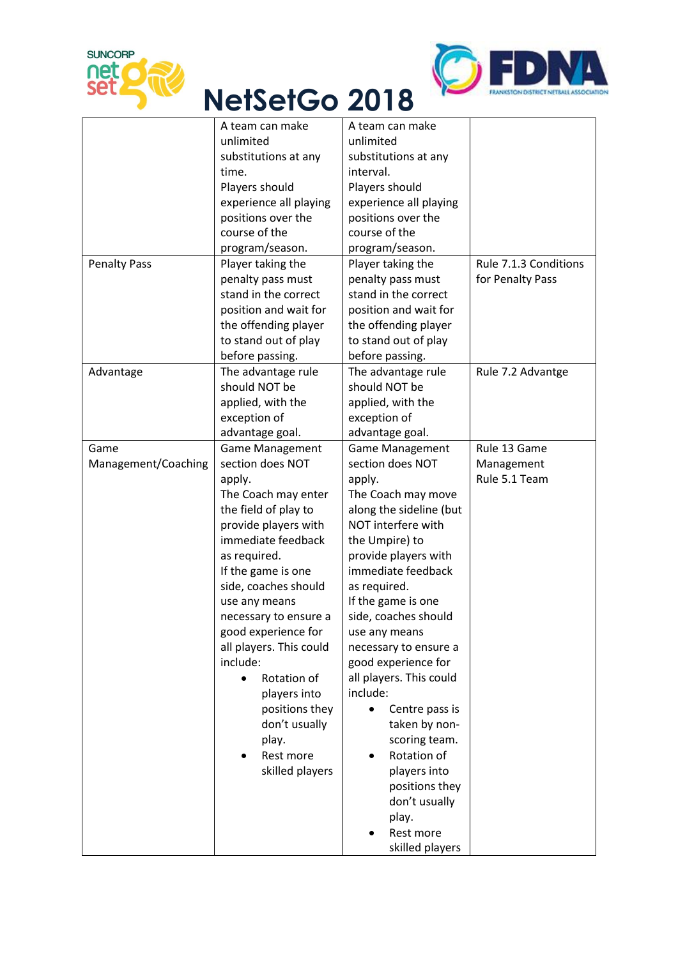



## **NetSetGo 2018**

|                     | A team can make         | A team can make             |                       |
|---------------------|-------------------------|-----------------------------|-----------------------|
|                     | unlimited               | unlimited                   |                       |
|                     | substitutions at any    | substitutions at any        |                       |
|                     | time.                   | interval.                   |                       |
|                     | Players should          | Players should              |                       |
|                     | experience all playing  | experience all playing      |                       |
|                     | positions over the      | positions over the          |                       |
|                     | course of the           | course of the               |                       |
|                     | program/season.         | program/season.             |                       |
| <b>Penalty Pass</b> | Player taking the       | Player taking the           | Rule 7.1.3 Conditions |
|                     | penalty pass must       | penalty pass must           | for Penalty Pass      |
|                     | stand in the correct    | stand in the correct        |                       |
|                     | position and wait for   | position and wait for       |                       |
|                     | the offending player    | the offending player        |                       |
|                     | to stand out of play    | to stand out of play        |                       |
|                     | before passing.         | before passing.             |                       |
| Advantage           | The advantage rule      | The advantage rule          | Rule 7.2 Advantge     |
|                     | should NOT be           | should NOT be               |                       |
|                     | applied, with the       | applied, with the           |                       |
|                     | exception of            | exception of                |                       |
|                     | advantage goal.         | advantage goal.             |                       |
| Game                | <b>Game Management</b>  | <b>Game Management</b>      | Rule 13 Game          |
| Management/Coaching | section does NOT        | section does NOT            | Management            |
|                     | apply.                  | apply.                      | Rule 5.1 Team         |
|                     | The Coach may enter     | The Coach may move          |                       |
|                     | the field of play to    | along the sideline (but     |                       |
|                     | provide players with    | NOT interfere with          |                       |
|                     | immediate feedback      | the Umpire) to              |                       |
|                     | as required.            | provide players with        |                       |
|                     | If the game is one      | immediate feedback          |                       |
|                     | side, coaches should    | as required.                |                       |
|                     | use any means           | If the game is one          |                       |
|                     | necessary to ensure a   | side, coaches should        |                       |
|                     | good experience for     | use any means               |                       |
|                     | all players. This could | necessary to ensure a       |                       |
|                     | include:                | good experience for         |                       |
|                     | Rotation of             | all players. This could     |                       |
|                     | players into            | include:                    |                       |
|                     | positions they          | Centre pass is<br>$\bullet$ |                       |
|                     | don't usually           | taken by non-               |                       |
|                     | play.                   | scoring team.               |                       |
|                     | Rest more               | Rotation of                 |                       |
|                     | skilled players         | players into                |                       |
|                     |                         | positions they              |                       |
|                     |                         | don't usually               |                       |
|                     |                         |                             |                       |
|                     |                         |                             |                       |
|                     |                         | play.<br>Rest more          |                       |